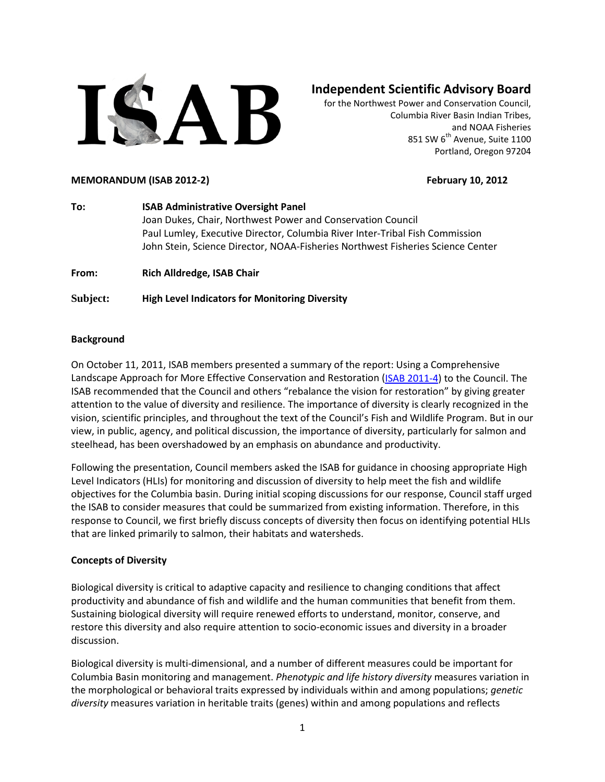

# **Independent Scientific Advisory Board**

for the Northwest Power and Conservation Council, Columbia River Basin Indian Tribes, and NOAA Fisheries 851 SW 6<sup>th</sup> Avenue, Suite 1100 Portland, Oregon 97204

#### **MEMORANDUM (ISAB 2012-2) February 10, 2012**

**To: ISAB Administrative Oversight Panel** Joan Dukes, Chair, Northwest Power and Conservation Council Paul Lumley, Executive Director, Columbia River Inter-Tribal Fish Commission John Stein, Science Director, NOAA-Fisheries Northwest Fisheries Science Center

**From: Rich Alldredge, ISAB Chair**

**Subject: High Level Indicators for Monitoring Diversity** 

## **Background**

On October 11, 2011, ISAB members presented a summary of the report: Using a Comprehensive Landscape Approach for More Effective Conservation and Restoration [\(ISAB 2011-4\)](http://www.nwcouncil.org/library/report.asp?d=640) to the Council. The ISAB recommended that the Council and others "rebalance the vision for restoration" by giving greater attention to the value of diversity and resilience. The importance of diversity is clearly recognized in the vision, scientific principles, and throughout the text of the Council's Fish and Wildlife Program. But in our view, in public, agency, and political discussion, the importance of diversity, particularly for salmon and steelhead, has been overshadowed by an emphasis on abundance and productivity.

Following the presentation, Council members asked the ISAB for guidance in choosing appropriate High Level Indicators (HLIs) for monitoring and discussion of diversity to help meet the fish and wildlife objectives for the Columbia basin. During initial scoping discussions for our response, Council staff urged the ISAB to consider measures that could be summarized from existing information. Therefore, in this response to Council, we first briefly discuss concepts of diversity then focus on identifying potential HLIs that are linked primarily to salmon, their habitats and watersheds.

## **Concepts of Diversity**

Biological diversity is critical to adaptive capacity and resilience to changing conditions that affect productivity and abundance of fish and wildlife and the human communities that benefit from them. Sustaining biological diversity will require renewed efforts to understand, monitor, conserve, and restore this diversity and also require attention to socio-economic issues and diversity in a broader discussion.

Biological diversity is multi-dimensional, and a number of different measures could be important for Columbia Basin monitoring and management. *Phenotypic and life history diversity* measures variation in the morphological or behavioral traits expressed by individuals within and among populations; *genetic diversity* measures variation in heritable traits (genes) within and among populations and reflects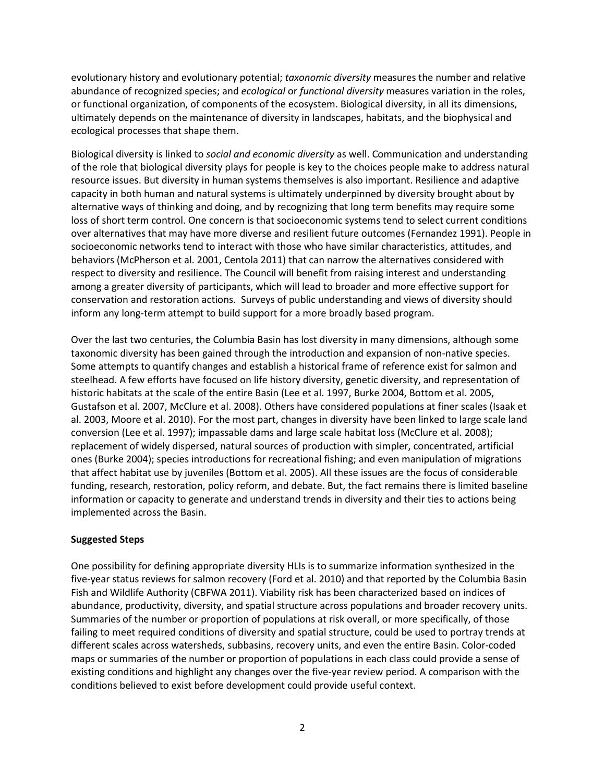evolutionary history and evolutionary potential; *taxonomic diversity* measures the number and relative abundance of recognized species; and *ecological* or *functional diversity* measures variation in the roles, or functional organization, of components of the ecosystem. Biological diversity, in all its dimensions, ultimately depends on the maintenance of diversity in landscapes, habitats, and the biophysical and ecological processes that shape them.

Biological diversity is linked to *social and economic diversity* as well. Communication and understanding of the role that biological diversity plays for people is key to the choices people make to address natural resource issues. But diversity in human systems themselves is also important. Resilience and adaptive capacity in both human and natural systems is ultimately underpinned by diversity brought about by alternative ways of thinking and doing, and by recognizing that long term benefits may require some loss of short term control. One concern is that socioeconomic systems tend to select current conditions over alternatives that may have more diverse and resilient future outcomes (Fernandez 1991). People in socioeconomic networks tend to interact with those who have similar characteristics, attitudes, and behaviors (McPherson et al. 2001, Centola 2011) that can narrow the alternatives considered with respect to diversity and resilience. The Council will benefit from raising interest and understanding among a greater diversity of participants, which will lead to broader and more effective support for conservation and restoration actions. Surveys of public understanding and views of diversity should inform any long-term attempt to build support for a more broadly based program.

Over the last two centuries, the Columbia Basin has lost diversity in many dimensions, although some taxonomic diversity has been gained through the introduction and expansion of non-native species. Some attempts to quantify changes and establish a historical frame of reference exist for salmon and steelhead. A few efforts have focused on life history diversity, genetic diversity, and representation of historic habitats at the scale of the entire Basin (Lee et al. 1997, Burke 2004, Bottom et al. 2005, Gustafson et al. 2007, McClure et al. 2008). Others have considered populations at finer scales (Isaak et al. 2003, Moore et al. 2010). For the most part, changes in diversity have been linked to large scale land conversion (Lee et al. 1997); impassable dams and large scale habitat loss (McClure et al. 2008); replacement of widely dispersed, natural sources of production with simpler, concentrated, artificial ones (Burke 2004); species introductions for recreational fishing; and even manipulation of migrations that affect habitat use by juveniles (Bottom et al. 2005). All these issues are the focus of considerable funding, research, restoration, policy reform, and debate. But, the fact remains there is limited baseline information or capacity to generate and understand trends in diversity and their ties to actions being implemented across the Basin.

## **Suggested Steps**

One possibility for defining appropriate diversity HLIs is to summarize information synthesized in the five-year status reviews for salmon recovery (Ford et al. 2010) and that reported by the Columbia Basin Fish and Wildlife Authority (CBFWA 2011). Viability risk has been characterized based on indices of abundance, productivity, diversity, and spatial structure across populations and broader recovery units. Summaries of the number or proportion of populations at risk overall, or more specifically, of those failing to meet required conditions of diversity and spatial structure, could be used to portray trends at different scales across watersheds, subbasins, recovery units, and even the entire Basin. Color-coded maps or summaries of the number or proportion of populations in each class could provide a sense of existing conditions and highlight any changes over the five-year review period. A comparison with the conditions believed to exist before development could provide useful context.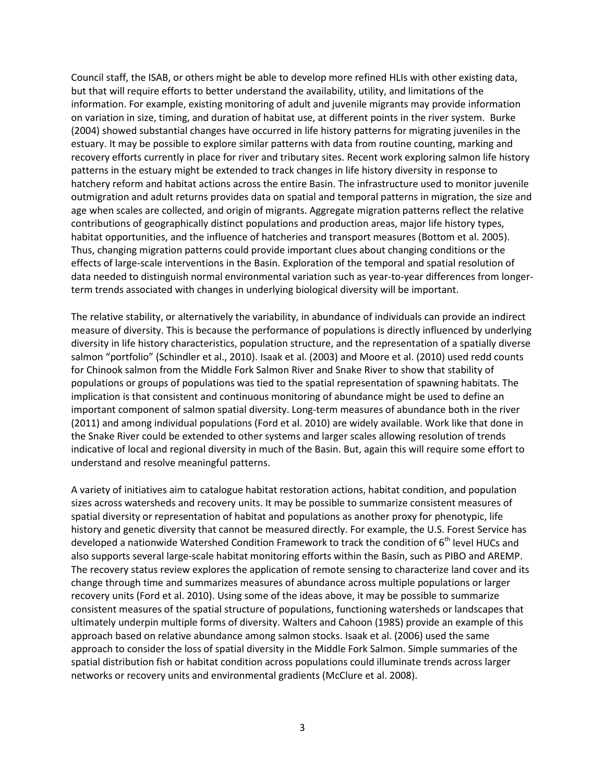Council staff, the ISAB, or others might be able to develop more refined HLIs with other existing data, but that will require efforts to better understand the availability, utility, and limitations of the information. For example, existing monitoring of adult and juvenile migrants may provide information on variation in size, timing, and duration of habitat use, at different points in the river system. Burke (2004) showed substantial changes have occurred in life history patterns for migrating juveniles in the estuary. It may be possible to explore similar patterns with data from routine counting, marking and recovery efforts currently in place for river and tributary sites. Recent work exploring salmon life history patterns in the estuary might be extended to track changes in life history diversity in response to hatchery reform and habitat actions across the entire Basin. The infrastructure used to monitor juvenile outmigration and adult returns provides data on spatial and temporal patterns in migration, the size and age when scales are collected, and origin of migrants. Aggregate migration patterns reflect the relative contributions of geographically distinct populations and production areas, major life history types, habitat opportunities, and the influence of hatcheries and transport measures (Bottom et al. 2005). Thus, changing migration patterns could provide important clues about changing conditions or the effects of large-scale interventions in the Basin. Exploration of the temporal and spatial resolution of data needed to distinguish normal environmental variation such as year-to-year differences from longerterm trends associated with changes in underlying biological diversity will be important.

The relative stability, or alternatively the variability, in abundance of individuals can provide an indirect measure of diversity. This is because the performance of populations is directly influenced by underlying diversity in life history characteristics, population structure, and the representation of a spatially diverse salmon "portfolio" (Schindler et al., 2010). Isaak et al. (2003) and Moore et al. (2010) used redd counts for Chinook salmon from the Middle Fork Salmon River and Snake River to show that stability of populations or groups of populations was tied to the spatial representation of spawning habitats. The implication is that consistent and continuous monitoring of abundance might be used to define an important component of salmon spatial diversity. Long-term measures of abundance both in the river (2011) and among individual populations (Ford et al. 2010) are widely available. Work like that done in the Snake River could be extended to other systems and larger scales allowing resolution of trends indicative of local and regional diversity in much of the Basin. But, again this will require some effort to understand and resolve meaningful patterns.

A variety of initiatives aim to catalogue habitat restoration actions, habitat condition, and population sizes across watersheds and recovery units. It may be possible to summarize consistent measures of spatial diversity or representation of habitat and populations as another proxy for phenotypic, life history and genetic diversity that cannot be measured directly. For example, the U.S. Forest Service has developed a nationwide Watershed Condition Framework to track the condition of 6<sup>th</sup> level HUCs and also supports several large-scale habitat monitoring efforts within the Basin, such as PIBO and AREMP. The recovery status review explores the application of remote sensing to characterize land cover and its change through time and summarizes measures of abundance across multiple populations or larger recovery units (Ford et al. 2010). Using some of the ideas above, it may be possible to summarize consistent measures of the spatial structure of populations, functioning watersheds or landscapes that ultimately underpin multiple forms of diversity. Walters and Cahoon (1985) provide an example of this approach based on relative abundance among salmon stocks. Isaak et al. (2006) used the same approach to consider the loss of spatial diversity in the Middle Fork Salmon. Simple summaries of the spatial distribution fish or habitat condition across populations could illuminate trends across larger networks or recovery units and environmental gradients (McClure et al. 2008).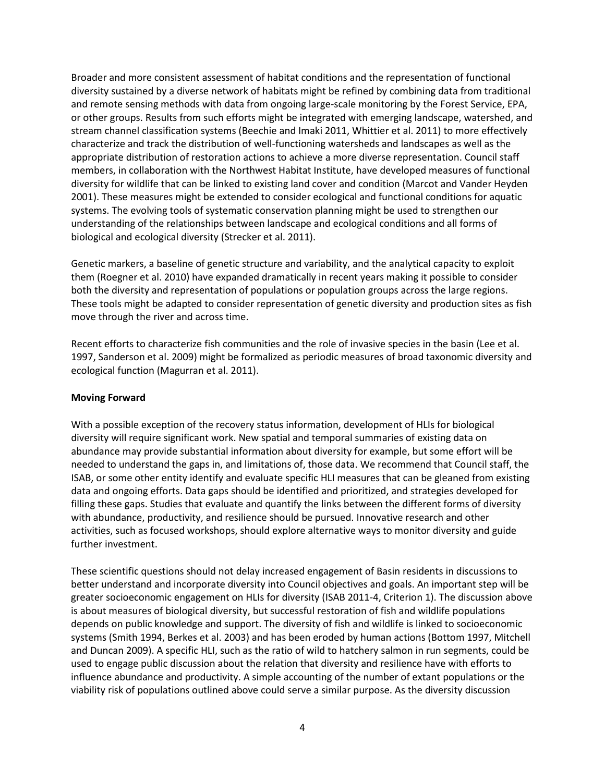Broader and more consistent assessment of habitat conditions and the representation of functional diversity sustained by a diverse network of habitats might be refined by combining data from traditional and remote sensing methods with data from ongoing large-scale monitoring by the Forest Service, EPA, or other groups. Results from such efforts might be integrated with emerging landscape, watershed, and stream channel classification systems (Beechie and Imaki 2011, Whittier et al. 2011) to more effectively characterize and track the distribution of well-functioning watersheds and landscapes as well as the appropriate distribution of restoration actions to achieve a more diverse representation. Council staff members, in collaboration with the Northwest Habitat Institute, have developed measures of functional diversity for wildlife that can be linked to existing land cover and condition (Marcot and Vander Heyden 2001). These measures might be extended to consider ecological and functional conditions for aquatic systems. The evolving tools of systematic conservation planning might be used to strengthen our understanding of the relationships between landscape and ecological conditions and all forms of biological and ecological diversity (Strecker et al. 2011).

Genetic markers, a baseline of genetic structure and variability, and the analytical capacity to exploit them (Roegner et al. 2010) have expanded dramatically in recent years making it possible to consider both the diversity and representation of populations or population groups across the large regions. These tools might be adapted to consider representation of genetic diversity and production sites as fish move through the river and across time.

Recent efforts to characterize fish communities and the role of invasive species in the basin (Lee et al. 1997, Sanderson et al. 2009) might be formalized as periodic measures of broad taxonomic diversity and ecological function (Magurran et al. 2011).

## **Moving Forward**

With a possible exception of the recovery status information, development of HLIs for biological diversity will require significant work. New spatial and temporal summaries of existing data on abundance may provide substantial information about diversity for example, but some effort will be needed to understand the gaps in, and limitations of, those data. We recommend that Council staff, the ISAB, or some other entity identify and evaluate specific HLI measures that can be gleaned from existing data and ongoing efforts. Data gaps should be identified and prioritized, and strategies developed for filling these gaps. Studies that evaluate and quantify the links between the different forms of diversity with abundance, productivity, and resilience should be pursued. Innovative research and other activities, such as focused workshops, should explore alternative ways to monitor diversity and guide further investment.

These scientific questions should not delay increased engagement of Basin residents in discussions to better understand and incorporate diversity into Council objectives and goals. An important step will be greater socioeconomic engagement on HLIs for diversity (ISAB 2011-4, Criterion 1). The discussion above is about measures of biological diversity, but successful restoration of fish and wildlife populations depends on public knowledge and support. The diversity of fish and wildlife is linked to socioeconomic systems (Smith 1994, Berkes et al. 2003) and has been eroded by human actions (Bottom 1997, Mitchell and Duncan 2009). A specific HLI, such as the ratio of wild to hatchery salmon in run segments, could be used to engage public discussion about the relation that diversity and resilience have with efforts to influence abundance and productivity. A simple accounting of the number of extant populations or the viability risk of populations outlined above could serve a similar purpose. As the diversity discussion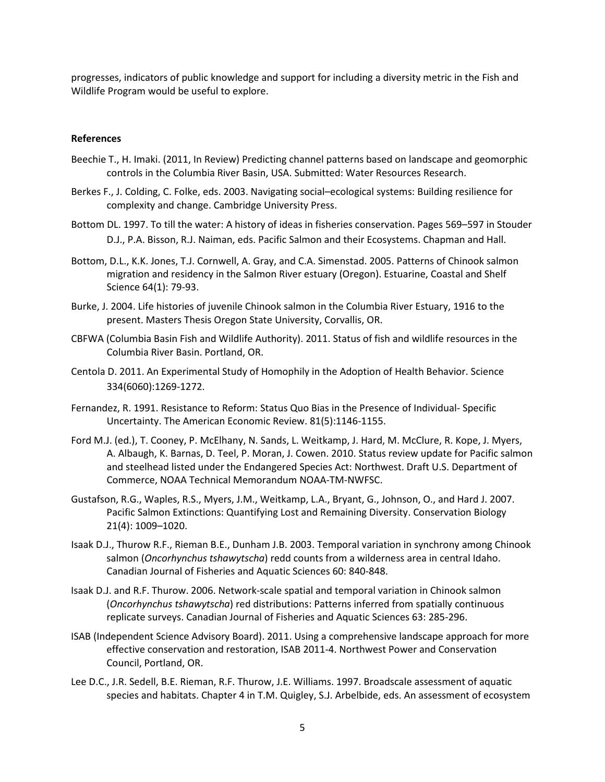progresses, indicators of public knowledge and support for including a diversity metric in the Fish and Wildlife Program would be useful to explore.

#### **References**

- Beechie T., H. Imaki. (2011, In Review) Predicting channel patterns based on landscape and geomorphic controls in the Columbia River Basin, USA. Submitted: Water Resources Research.
- Berkes F., J. Colding, C. Folke, eds. 2003. Navigating social–ecological systems: Building resilience for complexity and change. Cambridge University Press.
- Bottom DL. 1997. To till the water: A history of ideas in fisheries conservation. Pages 569–597 in Stouder D.J., P.A. Bisson, R.J. Naiman, eds. Pacific Salmon and their Ecosystems. Chapman and Hall.
- Bottom, D.L., K.K. Jones, T.J. Cornwell, A. Gray, and C.A. Simenstad. 2005. Patterns of Chinook salmon migration and residency in the Salmon River estuary (Oregon). Estuarine, Coastal and Shelf Science 64(1): 79-93.
- Burke, J. 2004. Life histories of juvenile Chinook salmon in the Columbia River Estuary, 1916 to the present. Masters Thesis Oregon State University, Corvallis, OR.
- CBFWA (Columbia Basin Fish and Wildlife Authority). 2011. Status of fish and wildlife resources in the Columbia River Basin. Portland, OR.
- Centola D. 2011. An Experimental Study of Homophily in the Adoption of Health Behavior. Science 334(6060):1269-1272.
- Fernandez, R. 1991. Resistance to Reform: Status Quo Bias in the Presence of Individual- Specific Uncertainty. The American Economic Review. 81(5):1146-1155.
- Ford M.J. (ed.), T. Cooney, P. McElhany, N. Sands, L. Weitkamp, J. Hard, M. McClure, R. Kope, J. Myers, A. Albaugh, K. Barnas, D. Teel, P. Moran, J. Cowen. 2010. Status review update for Pacific salmon and steelhead listed under the Endangered Species Act: Northwest. Draft U.S. Department of Commerce, NOAA Technical Memorandum NOAA-TM-NWFSC.
- Gustafson, R.G., Waples, R.S., Myers, J.M., Weitkamp, L.A., Bryant, G., Johnson, O., and Hard J. 2007. Pacific Salmon Extinctions: Quantifying Lost and Remaining Diversity. Conservation Biology 21(4): 1009–1020.
- Isaak D.J., Thurow R.F., Rieman B.E., Dunham J.B. 2003. Temporal variation in synchrony among Chinook salmon (*Oncorhynchus tshawytscha*) redd counts from a wilderness area in central Idaho. Canadian Journal of Fisheries and Aquatic Sciences 60: 840-848.
- Isaak D.J. and R.F. Thurow. 2006. Network-scale spatial and temporal variation in Chinook salmon (*Oncorhynchus tshawytscha*) red distributions: Patterns inferred from spatially continuous replicate surveys. Canadian Journal of Fisheries and Aquatic Sciences 63: 285-296.
- ISAB (Independent Science Advisory Board). 2011. Using a comprehensive landscape approach for more effective conservation and restoration, ISAB 2011-4. Northwest Power and Conservation Council, Portland, OR.
- Lee D.C., J.R. Sedell, B.E. Rieman, R.F. Thurow, J.E. Williams. 1997. Broadscale assessment of aquatic species and habitats. Chapter 4 in T.M. Quigley, S.J. Arbelbide, eds. An assessment of ecosystem